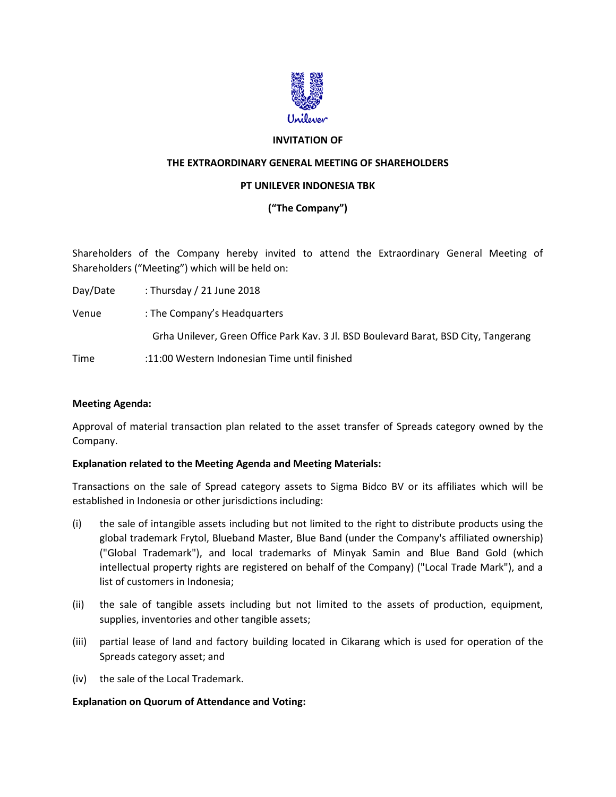

### **INVITATION OF**

### **THE EXTRAORDINARY GENERAL MEETING OF SHAREHOLDERS**

#### **PT UNILEVER INDONESIA TBK**

# **("The Company")**

Shareholders of the Company hereby invited to attend the Extraordinary General Meeting of Shareholders ("Meeting") which will be held on:

Day/Date : Thursday / 21 June 2018 Venue : The Company's Headquarters Grha Unilever, Green Office Park Kav. 3 Jl. BSD Boulevard Barat, BSD City, Tangerang Time :11:00 Western Indonesian Time until finished

## **Meeting Agenda:**

Approval of material transaction plan related to the asset transfer of Spreads category owned by the Company.

#### **Explanation related to the Meeting Agenda and Meeting Materials:**

Transactions on the sale of Spread category assets to Sigma Bidco BV or its affiliates which will be established in Indonesia or other jurisdictions including:

- (i) the sale of intangible assets including but not limited to the right to distribute products using the global trademark Frytol, Blueband Master, Blue Band (under the Company's affiliated ownership) ("Global Trademark"), and local trademarks of Minyak Samin and Blue Band Gold (which intellectual property rights are registered on behalf of the Company) ("Local Trade Mark"), and a list of customers in Indonesia;
- (ii) the sale of tangible assets including but not limited to the assets of production, equipment, supplies, inventories and other tangible assets;
- (iii) partial lease of land and factory building located in Cikarang which is used for operation of the Spreads category asset; and
- (iv) the sale of the Local Trademark.

#### **Explanation on Quorum of Attendance and Voting:**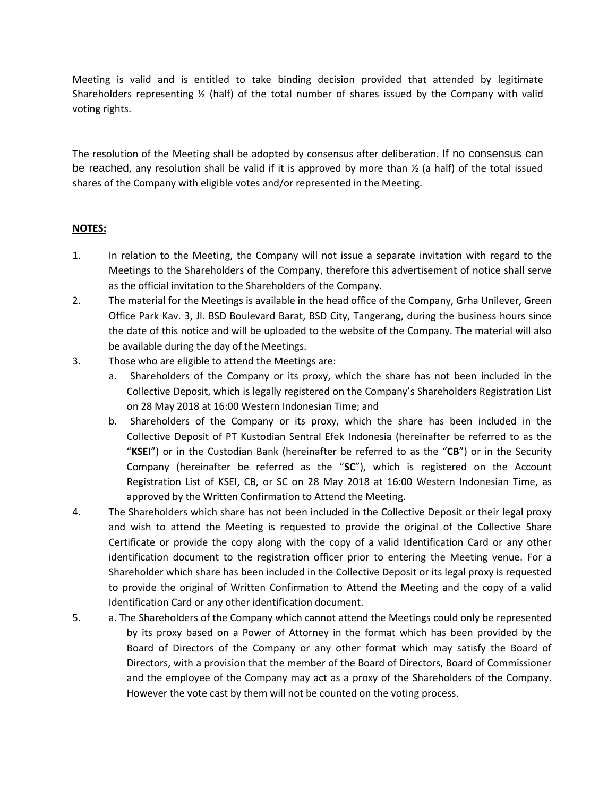Meeting is valid and is entitled to take binding decision provided that attended by legitimate Shareholders representing ½ (half) of the total number of shares issued by the Company with valid voting rights.

The resolution of the Meeting shall be adopted by consensus after deliberation. If no consensus can be reached, any resolution shall be valid if it is approved by more than  $\frac{1}{2}$  (a half) of the total issued shares of the Company with eligible votes and/or represented in the Meeting.

# **NOTES:**

- 1. In relation to the Meeting, the Company will not issue a separate invitation with regard to the Meetings to the Shareholders of the Company, therefore this advertisement of notice shall serve as the official invitation to the Shareholders of the Company.
- 2. The material for the Meetings is available in the head office of the Company, Grha Unilever, Green Office Park Kav. 3, Jl. BSD Boulevard Barat, BSD City, Tangerang, during the business hours since the date of this notice and will be uploaded to the website of the Company. The material will also be available during the day of the Meetings.
- 3. Those who are eligible to attend the Meetings are:
	- a. Shareholders of the Company or its proxy, which the share has not been included in the Collective Deposit, which is legally registered on the Company's Shareholders Registration List on 28 May 2018 at 16:00 Western Indonesian Time; and
	- b. Shareholders of the Company or its proxy, which the share has been included in the Collective Deposit of PT Kustodian Sentral Efek Indonesia (hereinafter be referred to as the "**KSEI**") or in the Custodian Bank (hereinafter be referred to as the "**CB**") or in the Security Company (hereinafter be referred as the "**SC**"), which is registered on the Account Registration List of KSEI, CB, or SC on 28 May 2018 at 16:00 Western Indonesian Time, as approved by the Written Confirmation to Attend the Meeting.
- 4. The Shareholders which share has not been included in the Collective Deposit or their legal proxy and wish to attend the Meeting is requested to provide the original of the Collective Share Certificate or provide the copy along with the copy of a valid Identification Card or any other identification document to the registration officer prior to entering the Meeting venue. For a Shareholder which share has been included in the Collective Deposit or its legal proxy is requested to provide the original of Written Confirmation to Attend the Meeting and the copy of a valid Identification Card or any other identification document.
- 5. a. The Shareholders of the Company which cannot attend the Meetings could only be represented by its proxy based on a Power of Attorney in the format which has been provided by the Board of Directors of the Company or any other format which may satisfy the Board of Directors, with a provision that the member of the Board of Directors, Board of Commissioner and the employee of the Company may act as a proxy of the Shareholders of the Company. However the vote cast by them will not be counted on the voting process.